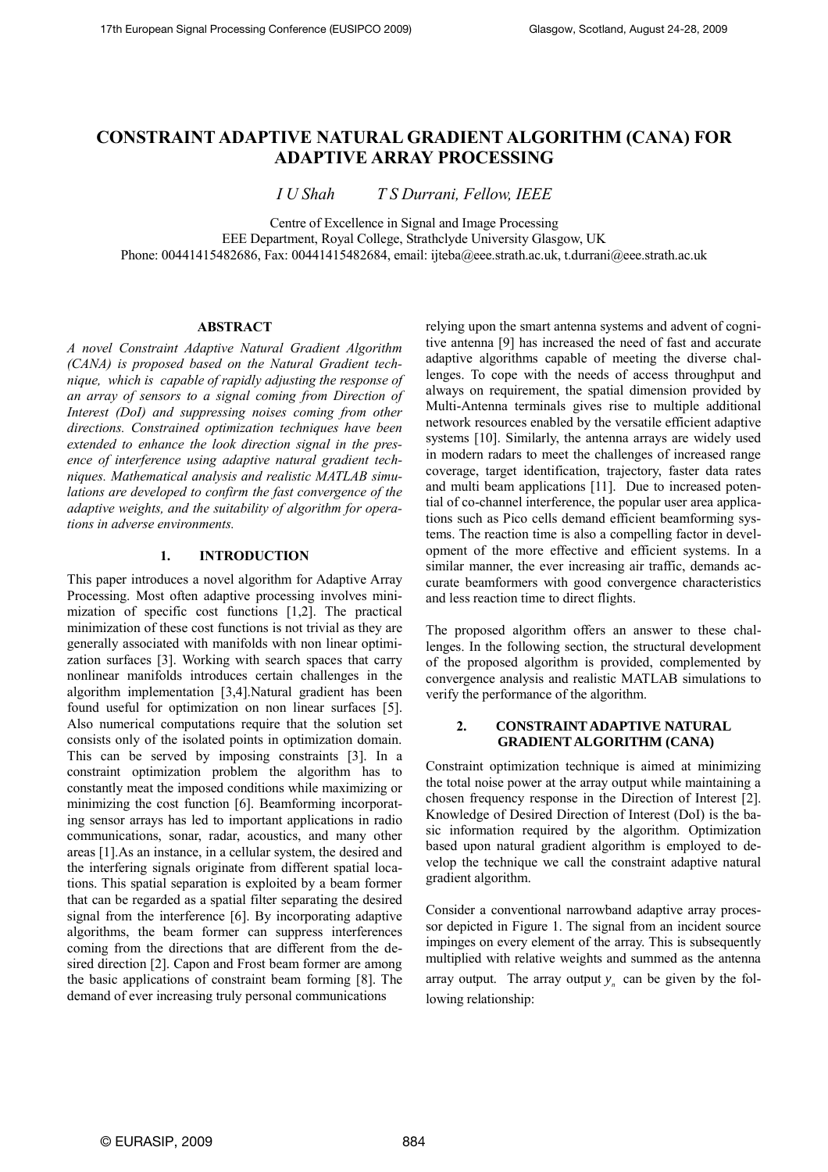# **CONSTRAINT ADAPTIVE NATURAL GRADIENT ALGORITHM (CANA) FOR ADAPTIVE ARRAY PROCESSING**

*I U Shah T S Durrani, Fellow, IEEE*

Centre of Excellence in Signal and Image Processing

EEE Department, Royal College, Strathclyde University Glasgow, UK

Phone: 00441415482686, Fax: 00441415482684, email[: ijteba@eee.strath.ac.uk,](mailto:ijteba@eee.strath.ac.uk) [t.durrani@eee.strath.ac.uk](mailto:t.durrani@eee.strath.ac.uk)

## **ABSTRACT**

*A novel Constraint Adaptive Natural Gradient Algorithm (CANA) is proposed based on the Natural Gradient technique, which is capable of rapidly adjusting the response of an array of sensors to a signal coming from Direction of Interest (DoI) and suppressing noises coming from other directions. Constrained optimization techniques have been extended to enhance the look direction signal in the presence of interference using adaptive natural gradient techniques. Mathematical analysis and realistic MATLAB simulations are developed to confirm the fast convergence of the adaptive weights, and the suitability of algorithm for operations in adverse environments.*

# **1. INTRODUCTION**

This paper introduces a novel algorithm for Adaptive Array Processing. Most often adaptive processing involves minimization of specific cost functions [1,2]. The practical minimization of these cost functions is not trivial as they are generally associated with manifolds with non linear optimization surfaces [3]. Working with search spaces that carry nonlinear manifolds introduces certain challenges in the algorithm implementation [3,4].Natural gradient has been found useful for optimization on non linear surfaces [5]. Also numerical computations require that the solution set consists only of the isolated points in optimization domain. This can be served by imposing constraints [3]. In a constraint optimization problem the algorithm has to constantly meat the imposed conditions while maximizing or minimizing the cost function [6]. Beamforming incorporating sensor arrays has led to important applications in radio communications, sonar, radar, acoustics, and many other areas [1].As an instance, in a cellular system, the desired and the interfering signals originate from different spatial locations. This spatial separation is exploited by a beam former that can be regarded as a spatial filter separating the desired signal from the interference [6]. By incorporating adaptive algorithms, the beam former can suppress interferences coming from the directions that are different from the desired direction [2]. Capon and Frost beam former are among the basic applications of constraint beam forming [8]. The demand of ever increasing truly personal communications

relying upon the smart antenna systems and advent of cognitive antenna [9] has increased the need of fast and accurate adaptive algorithms capable of meeting the diverse challenges. To cope with the needs of access throughput and always on requirement, the spatial dimension provided by Multi-Antenna terminals gives rise to multiple additional network resources enabled by the versatile efficient adaptive systems [10]. Similarly, the antenna arrays are widely used in modern radars to meet the challenges of increased range coverage, target identification, trajectory, faster data rates and multi beam applications [11]. Due to increased potential of co-channel interference, the popular user area applications such as Pico cells demand efficient beamforming systems. The reaction time is also a compelling factor in development of the more effective and efficient systems. In a similar manner, the ever increasing air traffic, demands accurate beamformers with good convergence characteristics and less reaction time to direct flights.

The proposed algorithm offers an answer to these challenges. In the following section, the structural development of the proposed algorithm is provided, complemented by convergence analysis and realistic MATLAB simulations to verify the performance of the algorithm.

# **2. CONSTRAINT ADAPTIVE NATURAL GRADIENT ALGORITHM (CANA)**

Constraint optimization technique is aimed at minimizing the total noise power at the array output while maintaining a chosen frequency response in the Direction of Interest [2]. Knowledge of Desired Direction of Interest (DoI) is the basic information required by the algorithm. Optimization based upon natural gradient algorithm is employed to develop the technique we call the constraint adaptive natural gradient algorithm.

Consider a conventional narrowband adaptive array processor depicted in Figure 1. The signal from an incident source impinges on every element of the array. This is subsequently multiplied with relative weights and summed as the antenna array output. The array output  $y_n$  can be given by the following relationship: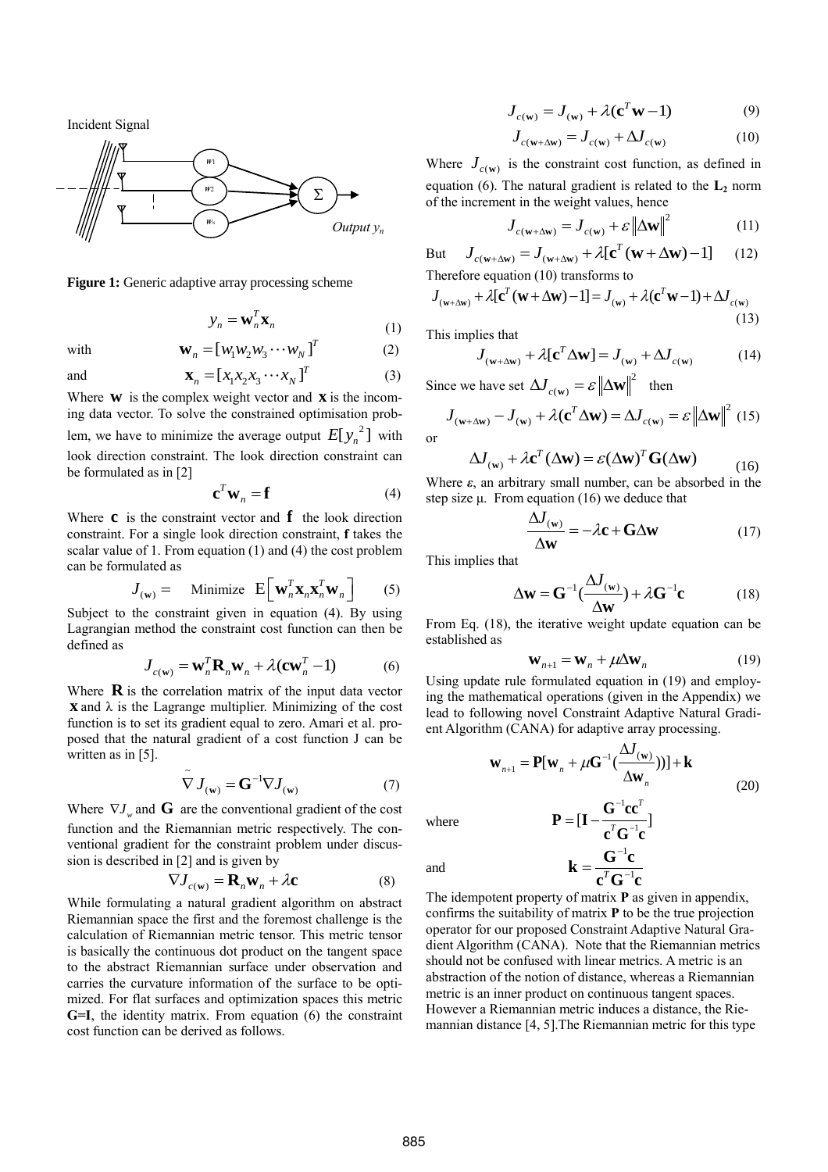Incident Signal



**Figure 1:** Generic adaptive array processing scheme

$$
y_n = \mathbf{w}_n^T \mathbf{x}_n \tag{1}
$$

with  $\mathbf{W}_n = \begin{bmatrix} w_1 w_2 w_3 \cdots w_N \end{bmatrix}^T$  (2)

and

d 
$$
\mathbf{X}_n = [x_1 x_2 x_3 \cdots x_N]^T
$$
 (3)

Where  $w$  is the complex weight vector and  $x$  is the incoming data vector. To solve the constrained optimisation problem, we have to minimize the average output  $E[y_n^2]$  with look direction constraint. The look direction constraint can be formulated as in [2]

$$
\mathbf{c}^T \mathbf{w}_n = \mathbf{f} \tag{4}
$$

Where  $\bf{c}$  is the constraint vector and  $\bf{f}$  the look direction constraint. For a single look direction constraint, **f** takes the scalar value of 1. From equation (1) and (4) the cost problem can be formulated as

$$
J_{(\mathbf{w})} = \text{Minimize } \mathbf{E} \Big[ \mathbf{w}_n^T \mathbf{x}_n \mathbf{x}_n^T \mathbf{w}_n \Big] \qquad (5)
$$

Subject to the constraint given in equation (4). By using Lagrangian method the constraint cost function can then be defined as

$$
J_{c(\mathbf{w})} = \mathbf{w}_n^T \mathbf{R}_n \mathbf{w}_n + \lambda (\mathbf{c} \mathbf{w}_n^T - 1)
$$
 (6)

Where  $\bf{R}$  is the correlation matrix of the input data vector **x** and λ is the Lagrange multiplier. Minimizing of the cost function is to set its gradient equal to zero. Amari et al. proposed that the natural gradient of a cost function J can be written as in [5].

$$
\tilde{\nabla} J_{(w)} = \mathbf{G}^{-1} \nabla J_{(w)} \tag{7}
$$

Where  $\nabla J_w$  and **G** are the conventional gradient of the cost function and the Riemannian metric respectively. The conventional gradient for the constraint problem under discussion is described in [2] and is given by

$$
\nabla J_{c(\mathbf{w})} = \mathbf{R}_n \mathbf{w}_n + \lambda \mathbf{c}
$$
 (8)

While formulating a natural gradient algorithm on abstract Riemannian space the first and the foremost challenge is the calculation of Riemannian metric tensor. This metric tensor is basically the continuous dot product on the tangent space to the abstract Riemannian surface under observation and carries the curvature information of the surface to be optimized. For flat surfaces and optimization spaces this metric **G=I**, the identity matrix. From equation (6) the constraint cost function can be derived as follows.

$$
J_{c(\mathbf{w})} = J_{(\mathbf{w})} + \lambda (\mathbf{c}^T \mathbf{w} - 1)
$$
 (9)

$$
J_{c(\mathbf{w}+\Delta\mathbf{w})} = J_{c(\mathbf{w})} + \Delta J_{c(\mathbf{w})}
$$
(10)

Where  $J_{c(w)}$  is the constraint cost function, as defined in equation (6). The natural gradient is related to the **L<sup>2</sup>** norm of the increment in the weight values, hence

$$
J_{c(\mathbf{w}+\Delta\mathbf{w})} = J_{c(\mathbf{w})} + \varepsilon \left\| \Delta\mathbf{w} \right\|^2 \tag{11}
$$

But  $J_{c(\mathbf{w}+\Delta\mathbf{w})} = J_{c(\mathbf{w})} + \mathcal{E} \|\Delta\mathbf{w}\|$  (11)<br>  $J_{c(\mathbf{w}+\Delta\mathbf{w})} = J_{(\mathbf{w}+\Delta\mathbf{w})} + \lambda [\mathbf{c}^T (\mathbf{w}+\Delta\mathbf{w}) - 1]$  (12) Therefore equation (10) transforms to

Let 
$$
J_{c(w+\Delta w)} = J_{(w+\Delta w)} + J_c(c(w+\Delta w) + J_1)
$$
 (12)

\nTherefore equation (10) transforms to

\n
$$
J_{(w+\Delta w)} + \lambda [c^T (w + \Delta w) - 1] = J_{(w)} + \lambda (c^T w - 1) + \Delta J_{(w)}
$$
\n(13)

This implies that

or

plies that  

$$
J_{(w+\Delta w)} + \lambda [\mathbf{c}^T \Delta \mathbf{w}] = J_{(w)} + \Delta J_{c(w)}
$$
(14)

Since we have set 
$$
\Delta J_{c(w)} = \varepsilon ||\Delta \mathbf{w}||^2
$$
 then  
\n
$$
J_{(w+\Delta w)} - J_{(w)} + \lambda (\mathbf{c}^T \Delta \mathbf{w}) = \Delta J_{c(w)} = \varepsilon ||\Delta \mathbf{w}||^2
$$
 (15)

$$
\Delta J_{(w)} + \lambda c^{T} (\Delta w) = \varepsilon (\Delta w)^{T} G(\Delta w)
$$
 (16)

Where *ε*, an arbitrary small number, can be absorbed in the step size  $\mu$ . From equation (16) we deduce that

$$
\frac{\Delta J_{\text{(w)}}}{\Delta \mathbf{w}} = -\lambda \mathbf{c} + \mathbf{G} \Delta \mathbf{w} \tag{17}
$$

This implies that

$$
\Delta \mathbf{w} = \mathbf{G}^{-1} \left( \frac{\Delta J_{(\mathbf{w})}}{\Delta \mathbf{w}} \right) + \lambda \mathbf{G}^{-1} \mathbf{c}
$$
 (18)

From Eq. (18), the iterative weight update equation can be established as

$$
\mathbf{W}_{n+1} = \mathbf{W}_n + \mu \Delta \mathbf{W}_n \tag{19}
$$

Using update rule formulated equation in (19) and employing the mathematical operations (given in the Appendix) we lead to following novel Constraint Adaptive Natural Gradient Algorithm (CANA) for adaptive array processing.

$$
\mathbf{w}_{n+1} = \mathbf{P}[\mathbf{w}_n + \mu \mathbf{G}^{-1}(\frac{\Delta J_{(\mathbf{w})}}{\Delta \mathbf{w}_n}))] + \mathbf{k}
$$
\n
$$
\mathbf{P} = [\mathbf{I} - \frac{\mathbf{G}^{-1} \mathbf{c} \mathbf{c}^T}{\sigma^T \mathbf{G}^{-1} \mathbf{c}^T}]
$$
\n(20)

 $\left[\mathbf{I} - \frac{\mathbf{C}}{c^T \mathbf{C}^{-1} \mathbf{c}}\right]$ 

 $\mathbf{c}^{\scriptscriptstyle T}\mathbf{G}^{-\scriptscriptstyle 1}\mathbf{c}$ 

1  $T \cap \mathsf{I}$  $\overline{\phantom{0}}$  $\mathbf{k} = \frac{\mathbf{G}^{-1}\mathbf{c}}{e^T\mathbf{C}^{-1}}$ 

*T*

 $P = [I$ 

where

and

 $\mathbf{c}^T\mathbf{G}^{-1}\mathbf{c}$ The idempotent property of matrix **P** as given in appendix, confirms the suitability of matrix **P** to be the true projection operator for our proposed Constraint Adaptive Natural Gradient Algorithm (CANA). Note that the Riemannian metrics should not be confused with linear metrics. A metric is an abstraction of the notion of distance, whereas a Riemannian metric is an inner product on continuous tangent spaces. However a Riemannian metric induces a distance, the Riemannian distance [4, 5].The Riemannian metric for this type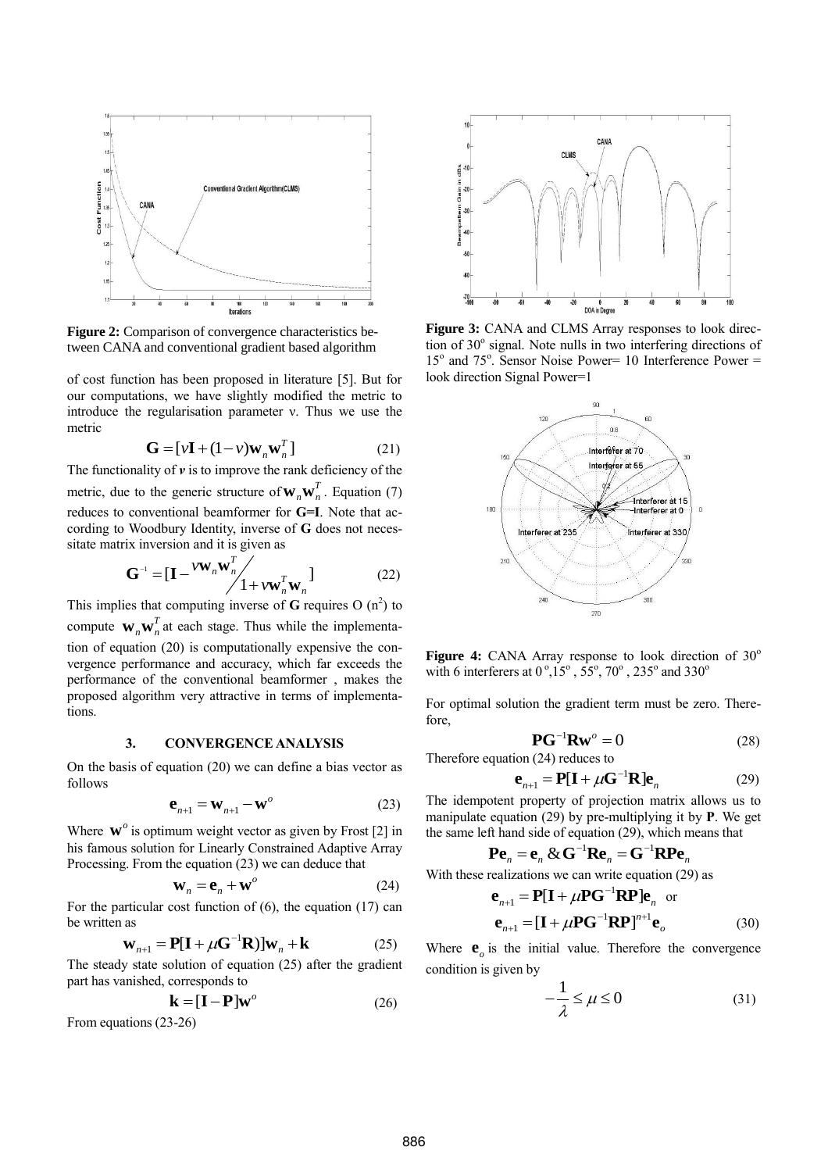

**Figure 2:** Comparison of convergence characteristics between CANA and conventional gradient based algorithm

of cost function has been proposed in literature [5]. But for our computations, we have slightly modified the metric to introduce the regularisation parameter ν. Thus we use the metric

$$
\mathbf{G} = [\nu \mathbf{I} + (1 - \nu)\mathbf{w}_n \mathbf{w}_n^T] \tag{21}
$$

The functionality of *ν* is to improve the rank deficiency of the metric, due to the generic structure of  $W_n W_n^T$ . Equation (7) reduces to conventional beamformer for **G=I**. Note that according to Woodbury Identity, inverse of **G** does not neces-

sitate matrix inversion and it is given as  
\n
$$
\mathbf{G}^{-1} = [\mathbf{I} - {}^{V\mathbf{W}}_{n} \mathbf{W}_{n}^{T}] + {}^{V\mathbf{W}}_{n} {}^{T} \mathbf{W}_{n}]
$$
\n(22)

This implies that computing inverse of **G** requires  $O(n^2)$  to compute  $\mathbf{w}_n \mathbf{w}_n^T$  at each stage. Thus while the implementation of equation (20) is computationally expensive the convergence performance and accuracy, which far exceeds the performance of the conventional beamformer , makes the proposed algorithm very attractive in terms of implementations.

#### **3. CONVERGENCE ANALYSIS**

On the basis of equation (20) we can define a bias vector as follows

$$
\mathbf{e}_{n+1} = \mathbf{W}_{n+1} - \mathbf{W}^o \tag{23}
$$

Where  $\mathbf{w}^o$  is optimum weight vector as given by Frost [2] in his famous solution for Linearly Constrained Adaptive Array Processing. From the equation (23) we can deduce that

$$
\mathbf{W}_n = \mathbf{e}_n + \mathbf{W}^o \tag{24}
$$

For the particular cost function of (6), the equation (17) can be written as

as  
\n
$$
\mathbf{w}_{n+1} = \mathbf{P}[\mathbf{I} + \mu \mathbf{G}^{-1} \mathbf{R}] \mathbf{w}_n + \mathbf{k}
$$
\n(25)

The steady state solution of equation (25) after the gradient part has vanished, corresponds to

$$
\mathbf{k} = [\mathbf{I} - \mathbf{P}] \mathbf{w}^o \tag{26}
$$

From equations (23-26)



**Figure 3:** CANA and CLMS Array responses to look direction of 30° signal. Note nulls in two interfering directions of 15<sup>o</sup> and 75<sup>o</sup>. Sensor Noise Power= 10 Interference Power = look direction Signal Power=1



**Figure 4:** CANA Array response to look direction of  $30^\circ$ with 6 interferers at  $0^\circ$ ,  $15^\circ$ ,  $55^\circ$ ,  $70^\circ$ ,  $235^\circ$  and  $330^\circ$ 

For optimal solution the gradient term must be zero. Therefore,

$$
\mathbf{P}\mathbf{G}^{-1}\mathbf{R}\mathbf{w}^o = 0\tag{28}
$$

Therefore equation (24) reduces to

$$
\mathbf{e}_{n+1} = \mathbf{P}[\mathbf{I} + \mu \mathbf{G}^{-1} \mathbf{R}] \mathbf{e}_n
$$
 (29)

The idempotent property of projection matrix allows us to manipulate equation (29) by pre-multiplying it by **P**. We get

the same left hand side of equation (29), which means that  
\n
$$
\mathbf{P} \mathbf{e}_n = \mathbf{e}_n \& \mathbf{G}^{-1} \mathbf{R} \mathbf{e}_n = \mathbf{G}^{-1} \mathbf{R} \mathbf{P} \mathbf{e}_n
$$

With these realizations we can write equation (29) as 1  $\mathbf{e}_{n+1} = \mathbf{P}[\mathbf{I} + \mu \mathbf{P} \mathbf{G}^{-1} \mathbf{R} \mathbf{P}] \mathbf{e}_n$  or

$$
\mathbf{e}_{n+1} = \left[\mathbf{I} + \mu \mathbf{P} \mathbf{G}^{-1} \mathbf{R} \mathbf{P}\right]^{n+1} \mathbf{e}_o \tag{30}
$$

Where  $\mathbf{e}_o$  is the initial value. Therefore the convergence condition is given by

$$
-\frac{1}{\lambda} \le \mu \le 0 \tag{31}
$$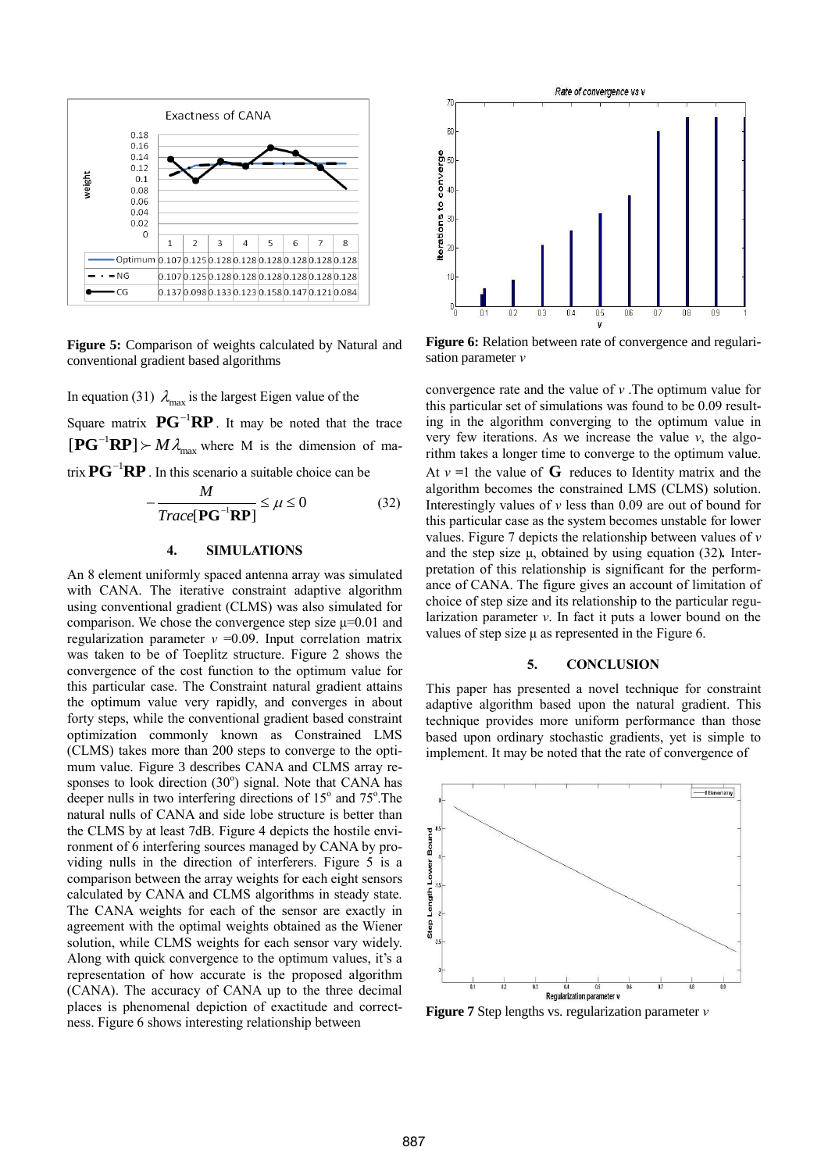

**Figure 5:** Comparison of weights calculated by Natural and conventional gradient based algorithms

In equation (31)  $\lambda_{\text{max}}$  is the largest Eigen value of the Square matrix  $\mathbf{P} \mathbf{G}^{-1} \mathbf{R} \mathbf{P}$ . It may be noted that the trace  $[\mathbf{P}\mathbf{G}^{-1}\mathbf{R}\mathbf{P}] \succ M \lambda_{\text{max}}$  where M is the dimension of ma-

trix  $\mathbf{P} \mathbf{G}^{-1} \mathbf{R} \mathbf{P}$ . In this scenario a suitable choice can be

$$
-\frac{M}{Trace[\mathbf{P}\mathbf{G}^{-1}\mathbf{R}\mathbf{P}]} \le \mu \le 0
$$
 (32)

#### **4. SIMULATIONS**

An 8 element uniformly spaced antenna array was simulated with CANA. The iterative constraint adaptive algorithm using conventional gradient (CLMS) was also simulated for comparison. We chose the convergence step size  $\mu$ =0.01 and regularization parameter *ν* =0.09. Input correlation matrix was taken to be of Toeplitz structure. Figure 2 shows the convergence of the cost function to the optimum value for this particular case. The Constraint natural gradient attains the optimum value very rapidly, and converges in about forty steps, while the conventional gradient based constraint optimization commonly known as Constrained LMS (CLMS) takes more than 200 steps to converge to the optimum value. Figure 3 describes CANA and CLMS array responses to look direction (30°) signal. Note that CANA has deeper nulls in two interfering directions of 15° and 75°. The natural nulls of CANA and side lobe structure is better than the CLMS by at least 7dB. Figure 4 depicts the hostile environment of 6 interfering sources managed by CANA by providing nulls in the direction of interferers. Figure 5 is a comparison between the array weights for each eight sensors calculated by CANA and CLMS algorithms in steady state. The CANA weights for each of the sensor are exactly in agreement with the optimal weights obtained as the Wiener solution, while CLMS weights for each sensor vary widely. Along with quick convergence to the optimum values, it's a representation of how accurate is the proposed algorithm (CANA). The accuracy of CANA up to the three decimal places is phenomenal depiction of exactitude and correctness. Figure 6 shows interesting relationship between



**Figure 6:** Relation between rate of convergence and regularisation parameter *ν*

convergence rate and the value of *ν* .The optimum value for this particular set of simulations was found to be 0.09 resulting in the algorithm converging to the optimum value in very few iterations. As we increase the value *ν*, the algorithm takes a longer time to converge to the optimum value. At  $v = 1$  the value of **G** reduces to Identity matrix and the algorithm becomes the constrained LMS (CLMS) solution. Interestingly values of *ν* less than 0.09 are out of bound for this particular case as the system becomes unstable for lower values. Figure 7 depicts the relationship between values of *ν* and the step size μ, obtained by using equation (32)*.* Interpretation of this relationship is significant for the performance of CANA. The figure gives an account of limitation of choice of step size and its relationship to the particular regularization parameter *ν*. In fact it puts a lower bound on the values of step size  $\mu$  as represented in the Figure 6.

# **5. CONCLUSION**

This paper has presented a novel technique for constraint adaptive algorithm based upon the natural gradient. This technique provides more uniform performance than those based upon ordinary stochastic gradients, yet is simple to implement. It may be noted that the rate of convergence of



**Figure 7** Step lengths vs. regularization parameter *ν*